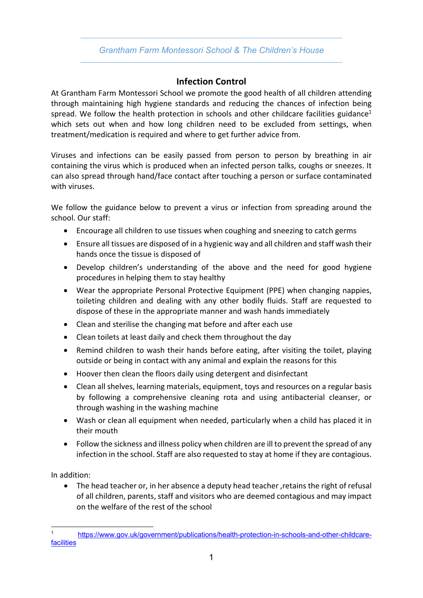## *Grantham Farm Montessori School & The Children's House*

## **Infection Control**

At Grantham Farm Montessori School we promote the good health of all children attending through maintaining high hygiene standards and reducing the chances of infection being spread. We follow the health protection in schools and other childcare facilities guidance<sup>1</sup> which sets out when and how long children need to be excluded from settings, when treatment/medication is required and where to get further advice from.

Viruses and infections can be easily passed from person to person by breathing in air containing the virus which is produced when an infected person talks, coughs or sneezes. It can also spread through hand/face contact after touching a person or surface contaminated with viruses.

We follow the guidance below to prevent a virus or infection from spreading around the school. Our staff:

- Encourage all children to use tissues when coughing and sneezing to catch germs
- Ensure all tissues are disposed of in a hygienic way and all children and staff wash their hands once the tissue is disposed of
- Develop children's understanding of the above and the need for good hygiene procedures in helping them to stay healthy
- Wear the appropriate Personal Protective Equipment (PPE) when changing nappies, toileting children and dealing with any other bodily fluids. Staff are requested to dispose of these in the appropriate manner and wash hands immediately
- Clean and sterilise the changing mat before and after each use
- Clean toilets at least daily and check them throughout the day
- Remind children to wash their hands before eating, after visiting the toilet, playing outside or being in contact with any animal and explain the reasons for this
- Hoover then clean the floors daily using detergent and disinfectant
- Clean all shelves, learning materials, equipment, toys and resources on a regular basis by following a comprehensive cleaning rota and using antibacterial cleanser, or through washing in the washing machine
- Wash or clean all equipment when needed, particularly when a child has placed it in their mouth
- Follow the sickness and illness policy when children are ill to prevent the spread of any infection in the school. Staff are also requested to stay at home if they are contagious.

In addition:

• The head teacher or, in her absence a deputy head teacher ,retains the right of refusal of all children, parents, staff and visitors who are deemed contagious and may impact on the welfare of the rest of the school

<sup>1</sup> https://www.gov.uk/government/publications/health-protection-in-schools-and-other-childcarefacilities